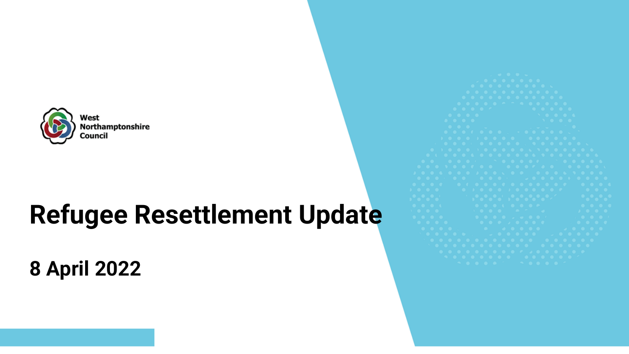

### **Refugee Resettlement Update**

**8 April 2022**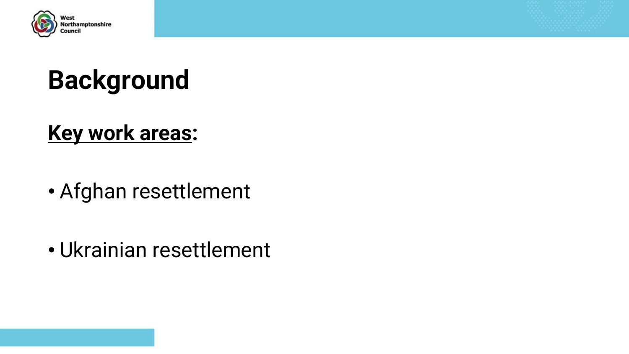

## **Background**

#### **Key work areas:**

- Afghan resettlement
- Ukrainian resettlement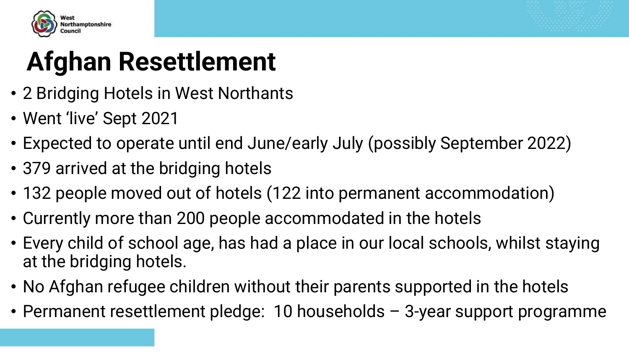



## **Afghan Resettlement**

- 2 Bridging Hotels in West Northants
- Went 'live' Sept 2021
- Expected to operate until end June/early July (possibly September 2022)
- 379 arrived at the bridging hotels
- 132 people moved out of hotels (122 into permanent accommodation)
- Currently more than 200 people accommodated in the hotels
- Every child of school age, has had a place in our local schools, whilst staying at the bridging hotels.
- No Afghan refugee children without their parents supported in the hotels
- Permanent resettlement pledge: 10 households 3-year support programme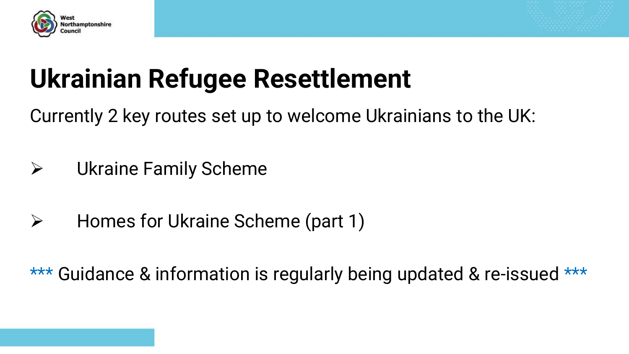



### **Ukrainian Refugee Resettlement**

Currently 2 key routes set up to welcome Ukrainians to the UK:

- ➢ Ukraine Family Scheme
- ➢ Homes for Ukraine Scheme (part 1)

\*\*\* Guidance & information is regularly being updated & re-issued \*\*\*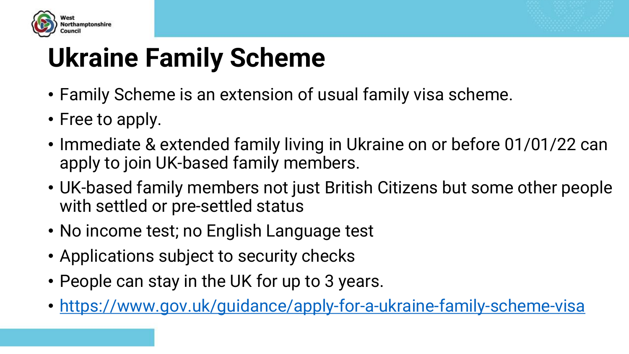



## **Ukraine Family Scheme**

- Family Scheme is an extension of usual family visa scheme.
- Free to apply.
- Immediate & extended family living in Ukraine on or before 01/01/22 can apply to join UK-based family members.
- UK-based family members not just British Citizens but some other people with settled or pre-settled status
- No income test; no English Language test
- Applications subject to security checks
- People can stay in the UK for up to 3 years.
- <https://www.gov.uk/guidance/apply-for-a-ukraine-family-scheme-visa>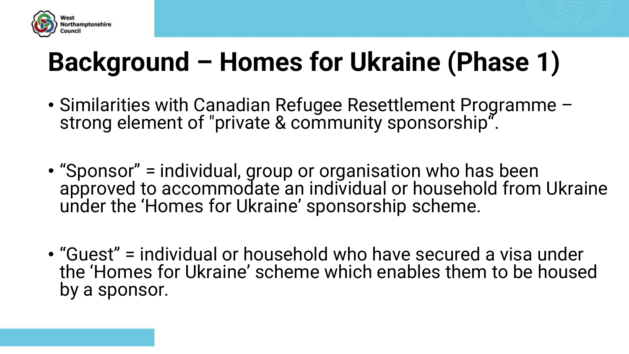



## **Background – Homes for Ukraine (Phase 1)**

- Similarities with Canadian Refugee Resettlement Programme strong element of "private & community sponsorship".
- "Sponsor" = individual, group or organisation who has been approved to accommodate an individual or household from Ukraine under the 'Homes for Ukraine' sponsorship scheme.
- "Guest" = individual or household who have secured a visa under the 'Homes for Ukraine' scheme which enables them to be housed by a sponsor.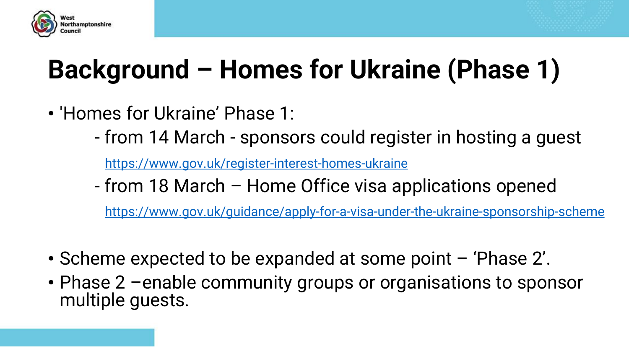



## **Background – Homes for Ukraine (Phase 1)**

- 'Homes for Ukraine' Phase 1:
	- from 14 March sponsors could register in hosting a guest

<https://www.gov.uk/register-interest-homes-ukraine>

- from 18 March – Home Office visa applications opened

<https://www.gov.uk/guidance/apply-for-a-visa-under-the-ukraine-sponsorship-scheme>

- Scheme expected to be expanded at some point 'Phase 2'.
- Phase 2 –enable community groups or organisations to sponsor multiple guests.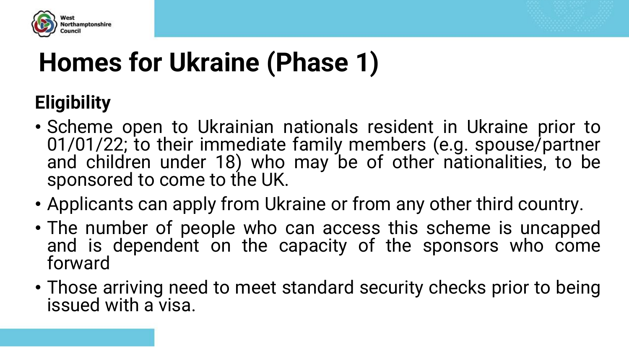



### **Eligibility**

- Scheme open to Ukrainian nationals resident in Ukraine prior to 01/01/22; to their immediate family members (e.g. spouse/partner and children under 18) who may be of other nationalities, to be sponsored to come to the UK.
- Applicants can apply from Ukraine or from any other third country.
- The number of people who can access this scheme is uncapped and is dependent on the capacity of the sponsors who come forward
- Those arriving need to meet standard security checks prior to being issued with a visa.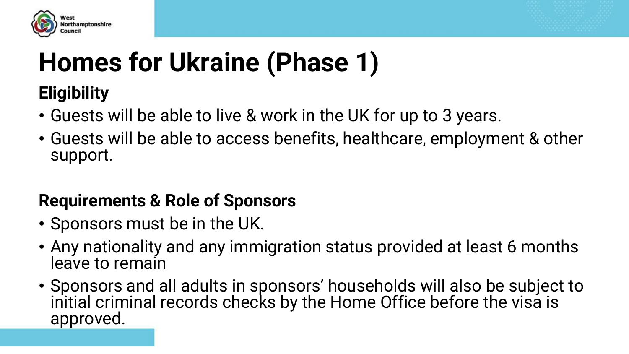



#### **Eligibility**

- Guests will be able to live & work in the UK for up to 3 years.
- Guests will be able to access benefits, healthcare, employment & other support.

#### **Requirements & Role of Sponsors**

- Sponsors must be in the UK.
- Any nationality and any immigration status provided at least 6 months leave to remain
- Sponsors and all adults in sponsors' households will also be subject to initial criminal records checks by the Home Office before the visa is approved.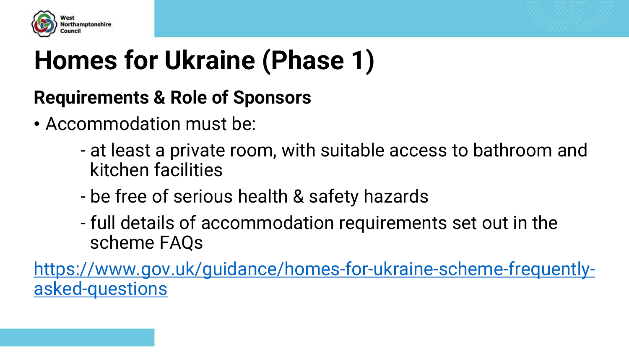



#### **Requirements & Role of Sponsors**

- Accommodation must be:
	- at least a private room, with suitable access to bathroom and kitchen facilities
	- be free of serious health & safety hazards
	- full details of accommodation requirements set out in the scheme FAQs

[https://www.gov.uk/guidance/homes-for-ukraine-scheme-frequently](https://www.gov.uk/guidance/homes-for-ukraine-scheme-frequently-asked-questions)asked-questions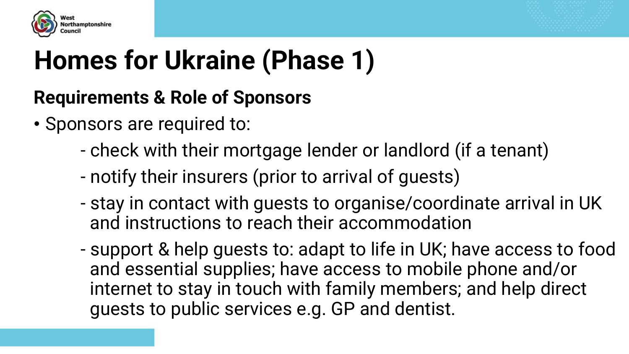



#### **Requirements & Role of Sponsors**

- Sponsors are required to:
	- check with their mortgage lender or landlord (if a tenant)
	- notify their insurers (prior to arrival of guests)
	- stay in contact with guests to organise/coordinate arrival in UK and instructions to reach their accommodation
	- support & help guests to: adapt to life in UK; have access to food and essential supplies; have access to mobile phone and/or internet to stay in touch with family members; and help direct guests to public services e.g. GP and dentist.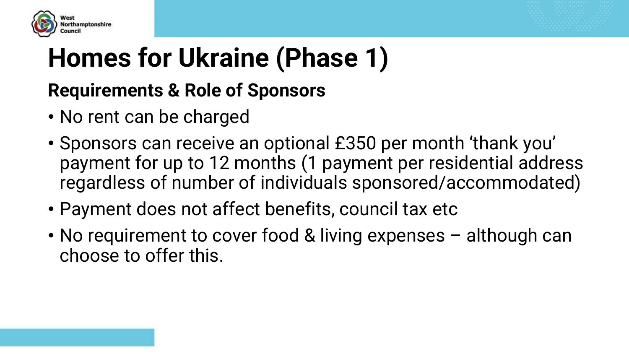



#### **Requirements & Role of Sponsors**

- No rent can be charged
- Sponsors can receive an optional £350 per month 'thank you' payment for up to 12 months (1 payment per residential address regardless of number of individuals sponsored/accommodated)
- Payment does not affect benefits, council tax etc
- No requirement to cover food & living expenses although can choose to offer this.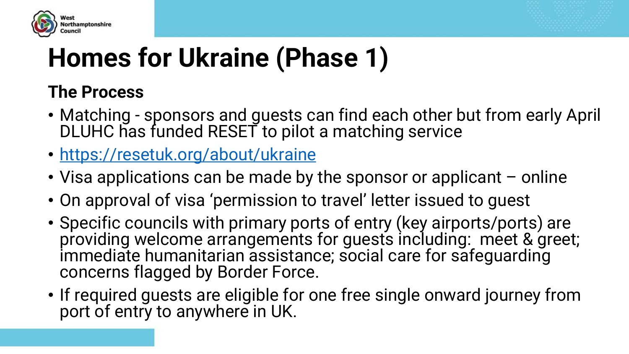



#### **The Process**

- Matching sponsors and guests can find each other but from early April DLUHC has funded RESET to pilot a matching service
- <https://resetuk.org/about/ukraine>
- Visa applications can be made by the sponsor or applicant online
- On approval of visa 'permission to travel' letter issued to guest
- Specific councils with primary ports of entry (key airports/ports) are providing welcome arrangements for guests including: meet & greet; immediate humanitarian assistance; social care for safequarding concerns flagged by Border Force.
- If required guests are eligible for one free single onward journey from port of entry to anywhere in UK.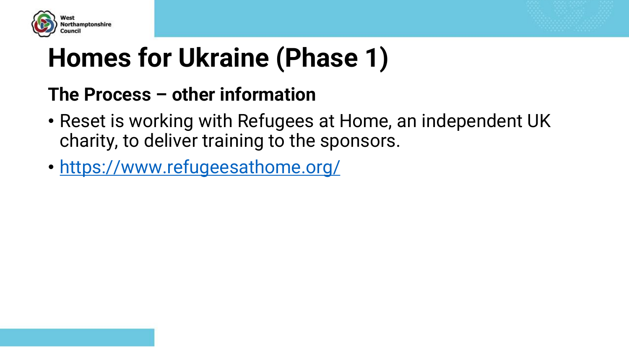



#### **The Process – other information**

- Reset is working with Refugees at Home, an independent UK charity, to deliver training to the sponsors.
- <https://www.refugeesathome.org/>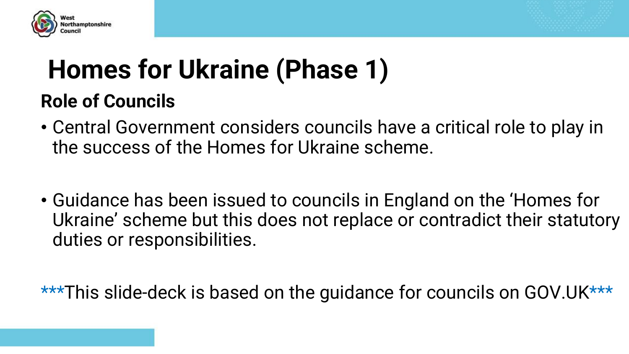



### **Homes for Ukraine (Phase 1) Role of Councils**

- Central Government considers councils have a critical role to play in the success of the Homes for Ukraine scheme.
- Guidance has been issued to councils in England on the 'Homes for Ukraine' scheme but this does not replace or contradict their statutory duties or responsibilities.

\*\*\*This slide-deck is based on the guidance for councils on GOV.UK\*\*\*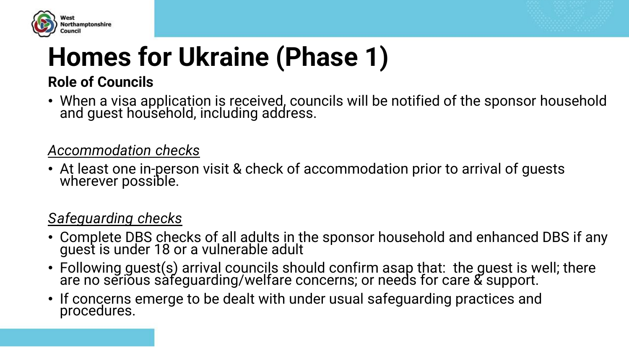



#### **Role of Councils**

• When a visa application is received, councils will be notified of the sponsor household and guest household, including address.

#### *Accommodation checks*

• At least one in-person visit & check of accommodation prior to arrival of guests wherever possible.

#### *Safeguarding checks*

- Complete DBS checks of all adults in the sponsor household and enhanced DBS if any guest is under 18 or a vulnerable adult
- Following guest(s) arrival councils should confirm asap that: the guest is well; there are no serious safeguarding/welfare concerns; or needs for care & support.
- If concerns emerge to be dealt with under usual safeguarding practices and procedures.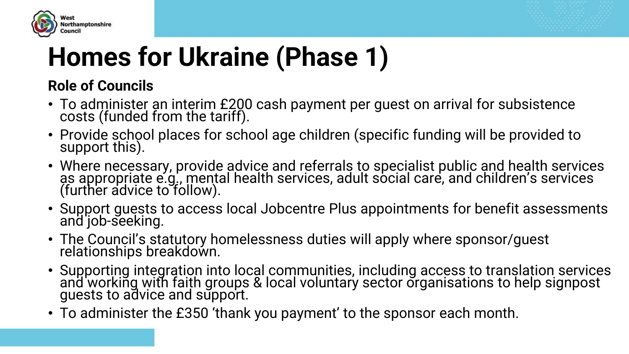



#### **Role of Councils**

- To administer an interim £200 cash payment per guest on arrival for subsistence costs (funded from the tariff).
- Provide school places for school age children (specific funding will be provided to support this).
- Where necessary, provide advice and referrals to specialist public and health services as appropriate e.g., mental health services, adult social care, and children's services (further advice to follow).
- Support guests to access local Jobcentre Plus appointments for benefit assessments and job-seeking.
- The Council's statutory homelessness duties will apply where sponsor/guest relationships breakdown.
- Supporting integration into local communities, including access to translation services and working with faith groups & local voluntary sector organisations to help signpost guests to advice and support.
- To administer the £350 'thank you payment' to the sponsor each month.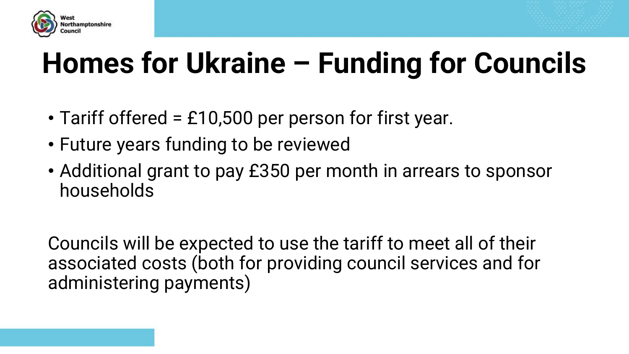



# **Homes for Ukraine – Funding for Councils**

- Tariff offered = £10,500 per person for first year.
- Future years funding to be reviewed
- Additional grant to pay £350 per month in arrears to sponsor households

Councils will be expected to use the tariff to meet all of their associated costs (both for providing council services and for administering payments)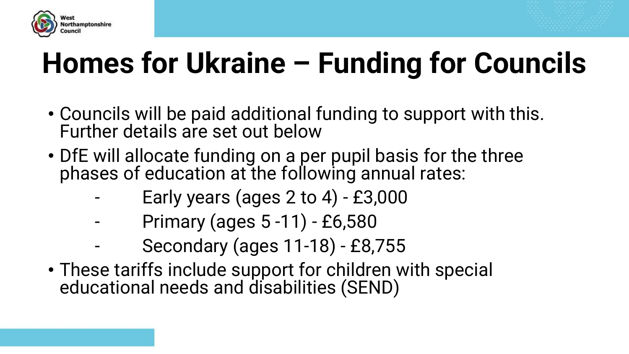



# **Homes for Ukraine – Funding for Councils**

- Councils will be paid additional funding to support with this. Further details are set out below
- DfE will allocate funding on a per pupil basis for the three phases of education at the following annual rates:
	- Early years (ages  $2$  to  $4)$  £3,000
	- Primary (ages 5 -11) £6,580
	- Secondary (ages 11-18) £8,755
- These tariffs include support for children with special educational needs and disabilities (SEND)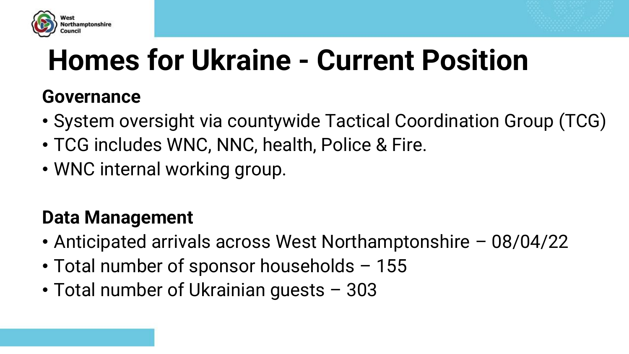



# **Homes for Ukraine - Current Position**

#### **Governance**

- System oversight via countywide Tactical Coordination Group (TCG)
- TCG includes WNC, NNC, health, Police & Fire.
- WNC internal working group.

#### **Data Management**

- Anticipated arrivals across West Northamptonshire 08/04/22
- Total number of sponsor households 155
- Total number of Ukrainian guests 303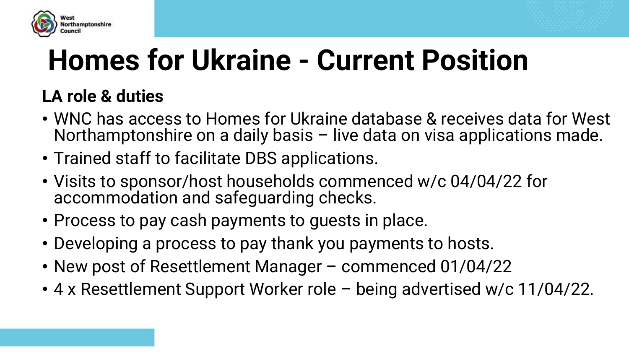



# **Homes for Ukraine - Current Position**

#### **LA role & duties**

- WNC has access to Homes for Ukraine database & receives data for West Northamptonshire on a daily basis – live data on visa applications made.
- Trained staff to facilitate DBS applications.
- Visits to sponsor/host households commenced w/c 04/04/22 for accommodation and safeguarding checks.
- Process to pay cash payments to guests in place.
- Developing a process to pay thank you payments to hosts.
- New post of Resettlement Manager commenced 01/04/22
- 4 x Resettlement Support Worker role being advertised w/c 11/04/22.